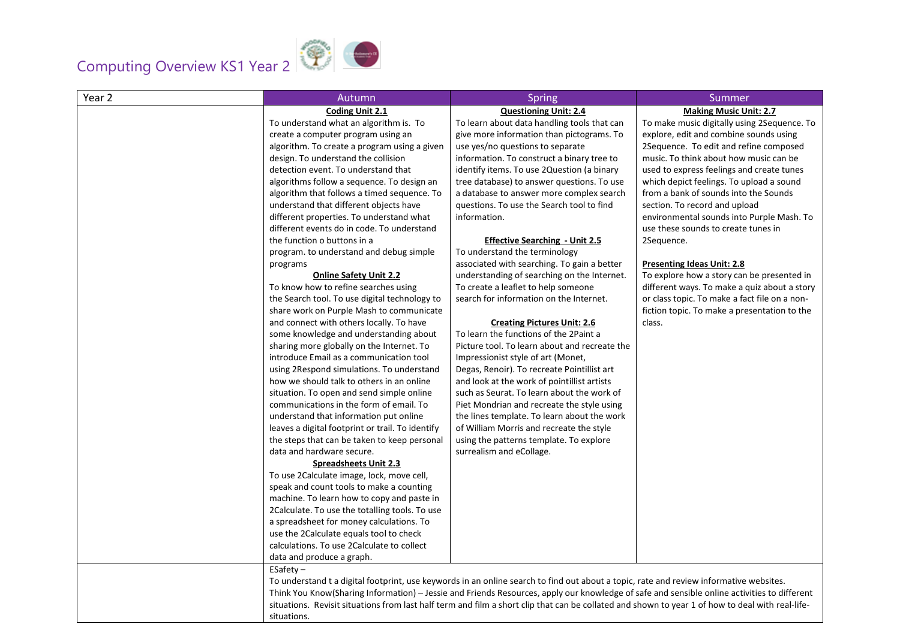## Computing Overview KS1 Year 2



| Year 2 | Autumn                                                                                                                                           | <b>Spring</b>                                 | Summer                                        |
|--------|--------------------------------------------------------------------------------------------------------------------------------------------------|-----------------------------------------------|-----------------------------------------------|
|        | Coding Unit 2.1                                                                                                                                  | <b>Questioning Unit: 2.4</b>                  | <b>Making Music Unit: 2.7</b>                 |
|        | To understand what an algorithm is. To                                                                                                           | To learn about data handling tools that can   | To make music digitally using 2Sequence. To   |
|        | create a computer program using an                                                                                                               | give more information than pictograms. To     | explore, edit and combine sounds using        |
|        | algorithm. To create a program using a given                                                                                                     | use yes/no questions to separate              | 2Sequence. To edit and refine composed        |
|        | design. To understand the collision                                                                                                              | information. To construct a binary tree to    | music. To think about how music can be        |
|        | detection event. To understand that                                                                                                              | identify items. To use 2Question (a binary    | used to express feelings and create tunes     |
|        | algorithms follow a sequence. To design an                                                                                                       | tree database) to answer questions. To use    | which depict feelings. To upload a sound      |
|        | algorithm that follows a timed sequence. To                                                                                                      | a database to answer more complex search      | from a bank of sounds into the Sounds         |
|        | understand that different objects have                                                                                                           | questions. To use the Search tool to find     | section. To record and upload                 |
|        | different properties. To understand what                                                                                                         | information.                                  | environmental sounds into Purple Mash. To     |
|        | different events do in code. To understand                                                                                                       |                                               | use these sounds to create tunes in           |
|        | the function o buttons in a                                                                                                                      | <b>Effective Searching - Unit 2.5</b>         | 2Sequence.                                    |
|        | program. to understand and debug simple                                                                                                          | To understand the terminology                 |                                               |
|        | programs                                                                                                                                         | associated with searching. To gain a better   | <b>Presenting Ideas Unit: 2.8</b>             |
|        | <b>Online Safety Unit 2.2</b>                                                                                                                    | understanding of searching on the Internet.   | To explore how a story can be presented in    |
|        | To know how to refine searches using                                                                                                             | To create a leaflet to help someone           | different ways. To make a quiz about a story  |
|        | the Search tool. To use digital technology to                                                                                                    | search for information on the Internet.       | or class topic. To make a fact file on a non- |
|        | share work on Purple Mash to communicate                                                                                                         |                                               | fiction topic. To make a presentation to the  |
|        | and connect with others locally. To have                                                                                                         | <b>Creating Pictures Unit: 2.6</b>            | class.                                        |
|        | some knowledge and understanding about                                                                                                           | To learn the functions of the 2Paint a        |                                               |
|        | sharing more globally on the Internet. To                                                                                                        | Picture tool. To learn about and recreate the |                                               |
|        | introduce Email as a communication tool                                                                                                          | Impressionist style of art (Monet,            |                                               |
|        | using 2Respond simulations. To understand                                                                                                        | Degas, Renoir). To recreate Pointillist art   |                                               |
|        | how we should talk to others in an online                                                                                                        | and look at the work of pointillist artists   |                                               |
|        | situation. To open and send simple online                                                                                                        | such as Seurat. To learn about the work of    |                                               |
|        | communications in the form of email. To                                                                                                          | Piet Mondrian and recreate the style using    |                                               |
|        | understand that information put online                                                                                                           | the lines template. To learn about the work   |                                               |
|        | leaves a digital footprint or trail. To identify                                                                                                 | of William Morris and recreate the style      |                                               |
|        | the steps that can be taken to keep personal                                                                                                     | using the patterns template. To explore       |                                               |
|        | data and hardware secure.                                                                                                                        | surrealism and eCollage.                      |                                               |
|        | <b>Spreadsheets Unit 2.3</b>                                                                                                                     |                                               |                                               |
|        | To use 2Calculate image, lock, move cell,                                                                                                        |                                               |                                               |
|        | speak and count tools to make a counting                                                                                                         |                                               |                                               |
|        | machine. To learn how to copy and paste in                                                                                                       |                                               |                                               |
|        | 2Calculate. To use the totalling tools. To use                                                                                                   |                                               |                                               |
|        | a spreadsheet for money calculations. To                                                                                                         |                                               |                                               |
|        | use the 2Calculate equals tool to check                                                                                                          |                                               |                                               |
|        | calculations. To use 2Calculate to collect                                                                                                       |                                               |                                               |
|        | data and produce a graph.                                                                                                                        |                                               |                                               |
|        | $ESafety -$                                                                                                                                      |                                               |                                               |
|        | To understand t a digital footprint, use keywords in an online search to find out about a topic, rate and review informative websites.           |                                               |                                               |
|        | Think You Know(Sharing Information) - Jessie and Friends Resources, apply our knowledge of safe and sensible online activities to different      |                                               |                                               |
|        | situations. Revisit situations from last half term and film a short clip that can be collated and shown to year 1 of how to deal with real-life- |                                               |                                               |
|        | situations.                                                                                                                                      |                                               |                                               |